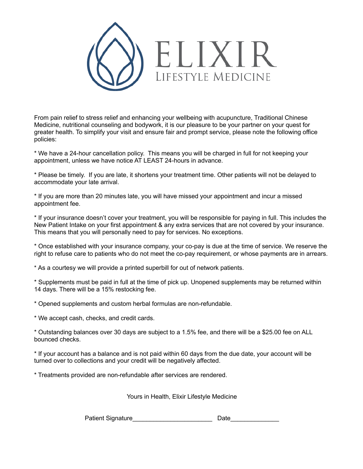

From pain relief to stress relief and enhancing your wellbeing with acupuncture, Traditional Chinese Medicine, nutritional counseling and bodywork, it is our pleasure to be your partner on your quest for greater health. To simplify your visit and ensure fair and prompt service, please note the following office policies:

\* We have a 24-hour cancellation policy. This means you will be charged in full for not keeping your appointment, unless we have notice AT LEAST 24-hours in advance.

\* Please be timely. If you are late, it shortens your treatment time. Other patients will not be delayed to accommodate your late arrival.

\* If you are more than 20 minutes late, you will have missed your appointment and incur a missed appointment fee.

\* If your insurance doesn't cover your treatment, you will be responsible for paying in full. This includes the New Patient Intake on your first appointment & any extra services that are not covered by your insurance. This means that you will personally need to pay for services. No exceptions.

\* Once established with your insurance company, your co-pay is due at the time of service. We reserve the right to refuse care to patients who do not meet the co-pay requirement, or whose payments are in arrears.

\* As a courtesy we will provide a printed superbill for out of network patients.

\* Supplements must be paid in full at the time of pick up. Unopened supplements may be returned within 14 days. There will be a 15% restocking fee.

\* Opened supplements and custom herbal formulas are non-refundable.

\* We accept cash, checks, and credit cards.

\* Outstanding balances over 30 days are subject to a 1.5% fee, and there will be a \$25.00 fee on ALL bounced checks.

\* If your account has a balance and is not paid within 60 days from the due date, your account will be turned over to collections and your credit will be negatively affected.

\* Treatments provided are non-refundable after services are rendered.

Yours in Health, Elixir Lifestyle Medicine

Patient Signature **Date**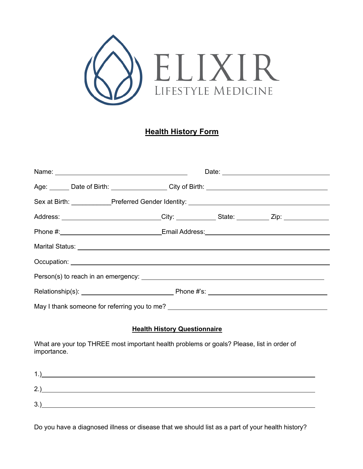

### **Health History Form**

|  | Name:                                                                                                                                                                                                                                |  |  |
|--|--------------------------------------------------------------------------------------------------------------------------------------------------------------------------------------------------------------------------------------|--|--|
|  |                                                                                                                                                                                                                                      |  |  |
|  | Sex at Birth: ___________Preferred Gender Identity: ____________________________                                                                                                                                                     |  |  |
|  | Address: ____________________________City: ____________State: _________Zip: ________________________                                                                                                                                 |  |  |
|  |                                                                                                                                                                                                                                      |  |  |
|  |                                                                                                                                                                                                                                      |  |  |
|  | Occupation: <u>contract and contract and contract and contract and contract and contract and contract and contract of the contract of the contract of the contract of the contract of the contract of the contract of the contra</u> |  |  |
|  |                                                                                                                                                                                                                                      |  |  |
|  |                                                                                                                                                                                                                                      |  |  |
|  | May I thank someone for referring you to me?                                                                                                                                                                                         |  |  |

#### **Health History Questionnaire**

What are your top THREE most important health problems or goals? Please, list in order of importance.

| 2.  |  |
|-----|--|
| 3.3 |  |

Do you have a diagnosed illness or disease that we should list as a part of your health history?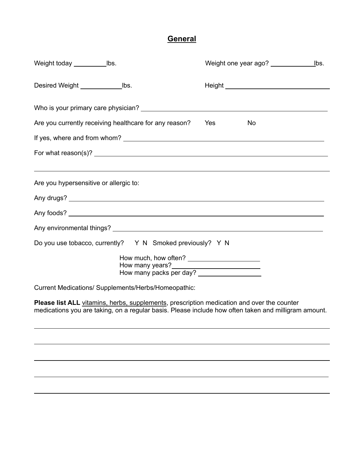# **General**

|                                                                                                                                                                                                                                |           | Weight one year ago?<br>lbs.     |
|--------------------------------------------------------------------------------------------------------------------------------------------------------------------------------------------------------------------------------|-----------|----------------------------------|
|                                                                                                                                                                                                                                |           | Height Neutralian Communications |
|                                                                                                                                                                                                                                |           |                                  |
| Are you currently receiving healthcare for any reason?                                                                                                                                                                         | Yes<br>No |                                  |
|                                                                                                                                                                                                                                |           |                                  |
|                                                                                                                                                                                                                                |           |                                  |
| Are you hypersensitive or allergic to:                                                                                                                                                                                         |           |                                  |
|                                                                                                                                                                                                                                |           |                                  |
|                                                                                                                                                                                                                                |           |                                  |
| Any environmental things? Note that the contract of the contract of the contract of the contract of the contract of the contract of the contract of the contract of the contract of the contract of the contract of the contra |           |                                  |
| Do you use tobacco, currently? Y N Smoked previously? Y N                                                                                                                                                                      |           |                                  |
| How many years?<br><u> How many years?</u><br>How many packs per day?                                                                                                                                                          |           |                                  |
| Current Medications/ Supplements/Herbs/Homeopathic:                                                                                                                                                                            |           |                                  |
| Please list ALL vitamins, herbs, supplements, prescription medication and over the counter<br>medications you are taking, on a regular basis. Please include how often taken and milligram amount.                             |           |                                  |
|                                                                                                                                                                                                                                |           |                                  |
|                                                                                                                                                                                                                                |           |                                  |

 $\overline{a}$ 

 $\overline{a}$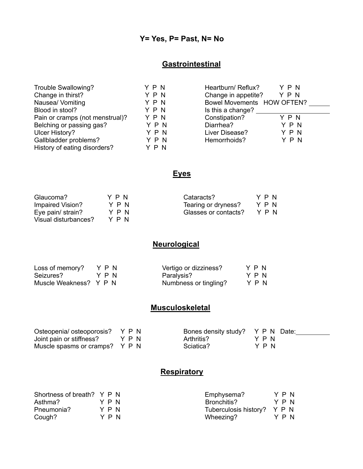### **Y= Yes, P= Past, N= No**

### **Gastrointestinal**

| Trouble Swallowing?             | YPN   | Heartburn/ Reflux?         | YPN |
|---------------------------------|-------|----------------------------|-----|
| Change in thirst?               | YPN   | Change in appetite?        | YPN |
| Nausea/ Vomiting                | YPN   | Bowel Movements HOW OFTEN? |     |
| Blood in stool?                 | YPN   | Is this a change?          |     |
| Pain or cramps (not menstrual)? | YPN   | Constipation?              | YPN |
| Belching or passing gas?        | YPN   | Diarrhea?                  | YPN |
| Ulcer History?                  | YPN   | Liver Disease?             | YPN |
| Gallbladder problems?           | YPN   | Hemorrhoids?               | YPN |
| History of eating disorders?    | Y P N |                            |     |

# **Eyes**

| Glaucoma?            | Y P N | Cataracts?           | YPN   |
|----------------------|-------|----------------------|-------|
| Impaired Vision?     | YPN   | Tearing or dryness?  | YPN   |
| Eye pain/ strain?    | YPN   | Glasses or contacts? | Y P N |
| Visual disturbances? | Y P N |                      |       |

# **Neurological**

| Loss of memory?        | YPN | Vertigo or dizziness? | YPN   |
|------------------------|-----|-----------------------|-------|
| Seizures?              | YPN | Paralysis?            | Y P N |
| Muscle Weakness? Y P N |     | Numbness or tingling? | YPN   |

### **Musculoskeletal**

| Osteopenia/osteoporosis? Y P N |      | Bones density study? Y P N Date: |      |  |
|--------------------------------|------|----------------------------------|------|--|
| Joint pain or stiffness?       | YPN) | Arthritis?                       | YPN) |  |
| Muscle spasms or cramps? Y P N |      | Sciatica?                        | YPN  |  |

### **Respiratory**

| Shortness of breath? Y P N |     | Emphysema?                  |  | Y P N |
|----------------------------|-----|-----------------------------|--|-------|
| Asthma?                    | YPN | Bronchitis?                 |  | YPN   |
| Pneumonia?                 | YPN | Tuberculosis history? Y P N |  |       |
| Cough?                     | YPN | Wheezing?                   |  | Y P N |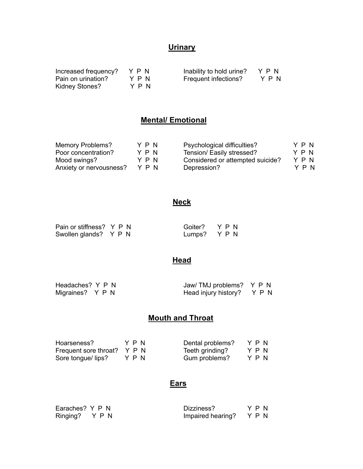# **Urinary**

| Increased frequency? | YPN   | Inability to hold urine? | YPN   |
|----------------------|-------|--------------------------|-------|
| Pain on urination?   | YPN   | Frequent infections?     | Y P N |
| Kidney Stones?       | Y P N |                          |       |

### **Mental/ Emotional**

| Memory Problems?        | YPN | Psychological difficulties?      | YPN |  |
|-------------------------|-----|----------------------------------|-----|--|
| Poor concentration?     | YPN | Tension/ Easily stressed?        | YPN |  |
| Mood swings?            | YPN | Considered or attempted suicide? | YPN |  |
| Anxiety or nervousness? | YPN | Depression?                      | YPN |  |

# **Neck**

| Pain or stiffness? Y P N | Goiter? Y P N |  |
|--------------------------|---------------|--|
| Swollen glands? Y P N    | Lumps? Y P N  |  |

# **Head**

| Headaches? Y P N | Jaw/TMJ problems? Y P N    |  |
|------------------|----------------------------|--|
| Migraines? Y P N | Head injury history? Y P N |  |

# **Mouth and Throat**

| Hoarseness?                 | YPN | Dental problems? | YPN |  |
|-----------------------------|-----|------------------|-----|--|
| Frequent sore throat? Y P N |     | Teeth grinding?  | YPN |  |
| Sore tongue/ lips?          | YPN | Gum problems?    | YPN |  |

### **Ears**

| Earaches? Y P N | Dizziness?              | YPN |
|-----------------|-------------------------|-----|
| Ringing? Y P N  | Impaired hearing? Y P N |     |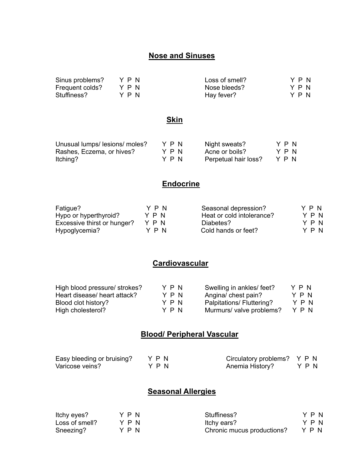### **Nose and Sinuses**

| Sinus problems? | Y P N | Loss of smell? | YPN |
|-----------------|-------|----------------|-----|
| Frequent colds? | YPN   | Nose bleeds?   | YPN |
| Stuffiness?     | YPN   | Hay fever?     | YPN |

### **Skin**

| Unusual lumps/lesions/moles? | YPN | Night sweats?        | Y P N |
|------------------------------|-----|----------------------|-------|
| Rashes, Eczema, or hives?    | YPN | Acne or boils?       | Y P N |
| Itching?                     | YPN | Perpetual hair loss? | YPN   |

#### **Endocrine**

| Fatigue?                    | YPN | Seasonal depression?      | YPN |
|-----------------------------|-----|---------------------------|-----|
| Hypo or hyperthyroid?       | YPN | Heat or cold intolerance? | YPN |
| Excessive thirst or hunger? | YPN | Diabetes?                 | YPN |
| Hypoglycemia?               | YPN | Cold hands or feet?       | YPN |

# **Cardiovascular**

| High blood pressure/ strokes? | YPN | Swelling in ankles/ feet? | YPN |
|-------------------------------|-----|---------------------------|-----|
| Heart disease/ heart attack?  | YPN | Angina/ chest pain?       | YPN |
| Blood clot history?           | YPN | Palpitations/ Fluttering? | YPN |
| High cholesterol?             | YPN | Murmurs/ valve problems?  | YPN |

### **Blood/ Peripheral Vascular**

| Easy bleeding or bruising? | YPN   | Circulatory problems? Y P N |     |
|----------------------------|-------|-----------------------------|-----|
| Varicose veins?            | Y P N | Anemia History?             | YPN |

### **Seasonal Allergies**

| Itchy eyes?    | YPN | Stuffiness?                | YPN |
|----------------|-----|----------------------------|-----|
| Loss of smell? | YPN | Itchy ears?                | YPN |
| Sneezing?      | YPN | Chronic mucus productions? | YPN |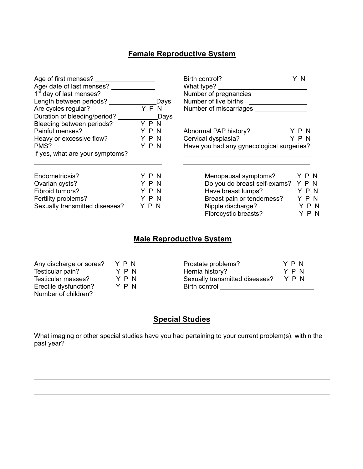# **Female Reproductive System**

| Age of first menses?                |     |       | Birth control?                            | Y N |       |
|-------------------------------------|-----|-------|-------------------------------------------|-----|-------|
| Age/ date of last menses?           |     |       | What type?                                |     |       |
| 1 <sup>st</sup> day of last menses? |     |       |                                           |     |       |
| Length between periods?             |     | Days  | Number of live births                     |     |       |
| Are cycles regular?                 |     | Y P N | Number of miscarriages                    |     |       |
| Duration of bleeding/period? ___    |     | Days  |                                           |     |       |
| Bleeding between periods?           | YPN |       |                                           |     |       |
| Painful menses?                     | YPN |       | Abnormal PAP history?                     | YPN |       |
| Heavy or excessive flow?            | YPN |       | Cervical dysplasia?                       | YPN |       |
| PMS?                                | YPN |       | Have you had any gynecological surgeries? |     |       |
| If yes, what are your symptoms?     |     |       |                                           |     |       |
| Endometriosis?                      | YPN |       | Menopausal symptoms?                      |     | YPN   |
| Ovarian cysts?                      | YPN |       | Do you do breast self-exams? Y P N        |     |       |
| Fibroid tumors?                     | YPN |       | Have breast lumps?                        |     | Y P N |
| Fertility problems?                 | YPN |       | Breast pain or tenderness?                |     | YPN   |

### **Male Reproductive System**

Fibrocystic breasts? Y P N

Sexually transmitted diseases?  $Y \nmid P N$  Nipple discharge?  $Y \nmid P N$ 

| Any discharge or sores? | YPN | Prostate problems?             | Y P N |
|-------------------------|-----|--------------------------------|-------|
| Testicular pain?        | YPN | Hernia history?                | YPN   |
| Testicular masses?      | YPN | Sexually transmitted diseases? | YPN   |
| Erectile dysfunction?   | YPN | Birth control                  |       |
| Number of children?     |     |                                |       |

j

j

j

#### **Special Studies**

What imaging or other special studies have you had pertaining to your current problem(s), within the past year?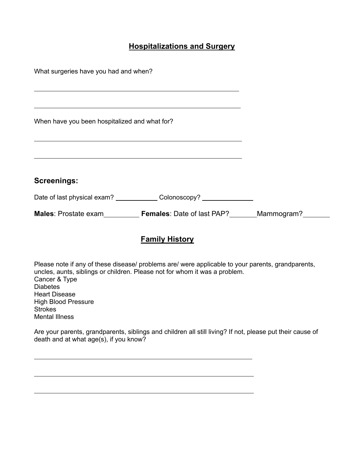### **Hospitalizations and Surgery**

| What surgeries have you had and when?         |                                          |            |  |  |  |  |  |
|-----------------------------------------------|------------------------------------------|------------|--|--|--|--|--|
|                                               |                                          |            |  |  |  |  |  |
|                                               |                                          |            |  |  |  |  |  |
| When have you been hospitalized and what for? |                                          |            |  |  |  |  |  |
|                                               |                                          |            |  |  |  |  |  |
|                                               |                                          |            |  |  |  |  |  |
| <b>Screenings:</b>                            |                                          |            |  |  |  |  |  |
|                                               | Date of last physical exam? Colonoscopy? |            |  |  |  |  |  |
| <b>Males:</b> Prostate exam                   | <b>Females:</b> Date of last PAP?        | Mammogram? |  |  |  |  |  |

### **Family History**

Please note if any of these disease/ problems are/ were applicable to your parents, grandparents, uncles, aunts, siblings or children. Please not for whom it was a problem. Cancer & Type **Diabetes** Heart Disease High Blood Pressure **Strokes** Mental Illness

Are your parents, grandparents, siblings and children all still living? If not, please put their cause of death and at what age(s), if you know?

 $\overline{\phantom{0}}$ 

 $\overline{\phantom{0}}$ 

 $\overline{\phantom{0}}$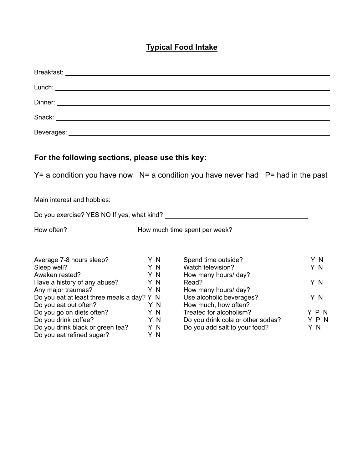# **Typical Food Intake**

|                                                                                                                                             |                                | Dinner: <u>New York:</u> New York: New York: New York: New York: New York: New York: New York: New York: New York: New York: New York: New York: New York: New York: New York: New York: New York: New York: New York: New York: Ne |                   |
|---------------------------------------------------------------------------------------------------------------------------------------------|--------------------------------|-------------------------------------------------------------------------------------------------------------------------------------------------------------------------------------------------------------------------------------|-------------------|
|                                                                                                                                             |                                |                                                                                                                                                                                                                                     |                   |
|                                                                                                                                             |                                |                                                                                                                                                                                                                                     |                   |
| For the following sections, please use this key:                                                                                            |                                |                                                                                                                                                                                                                                     |                   |
|                                                                                                                                             |                                | $Y = a$ condition you have now $N = a$ condition you have never had $P = had$ in the past                                                                                                                                           |                   |
|                                                                                                                                             |                                |                                                                                                                                                                                                                                     |                   |
|                                                                                                                                             |                                |                                                                                                                                                                                                                                     |                   |
|                                                                                                                                             |                                | How often? ___________________________How much time spent per week? ________________________________                                                                                                                                |                   |
| Average 7-8 hours sleep?<br>Sleep well?<br>Awaken rested?                                                                                   | Y N<br>Y N<br>Y N              | Spend time outside?<br>Watch television?                                                                                                                                                                                            | Y N<br>Y N        |
| Have a history of any abuse?<br>Any major traumas?<br>Do you eat at least three meals a day? Y N                                            | Y N<br>Y N                     | Read?<br>How many hours/ day? _<br>Use alcoholic beverages?                                                                                                                                                                         | Y N<br>Y N        |
| Do you eat out often?<br>Do you go on diets often?<br>Do you drink coffee?<br>Do you drink black or green tea?<br>Do you eat refined sugar? | Y N<br>Y N<br>YN<br>Y N<br>Y N | How much, how often? ______________<br>Treated for alcoholism?<br>Do you drink cola or other sodas?<br>Do you add salt to your food?                                                                                                | YPN<br>YPN<br>Y N |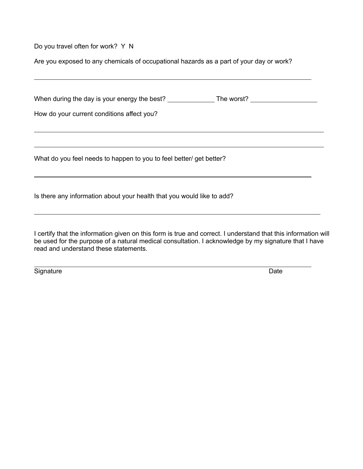Do you travel often for work? Y N

Are you exposed to any chemicals of occupational hazards as a part of your day or work?

|  | When during the day is your energy the best? |  | The worst? |  |
|--|----------------------------------------------|--|------------|--|
|--|----------------------------------------------|--|------------|--|

How do your current conditions affect you?

What do you feel needs to happen to you to feel better/ get better?

Is there any information about your health that you would like to add?

I certify that the information given on this form is true and correct. I understand that this information will be used for the purpose of a natural medical consultation. I acknowledge by my signature that I have read and understand these statements.

Signature Date **Date** 

 $\overline{a}$ 

 $\overline{a}$ 

 $\overline{a}$ 

 $\overline{a}$ 

 $\overline{a}$ 

 $\overline{a}$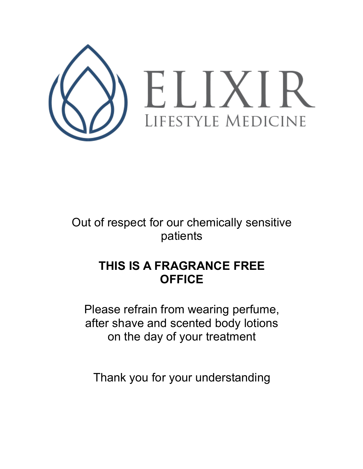

Out of respect for our chemically sensitive patients

# **THIS IS A FRAGRANCE FREE OFFICE**

Please refrain from wearing perfume, after shave and scented body lotions on the day of your treatment

Thank you for your understanding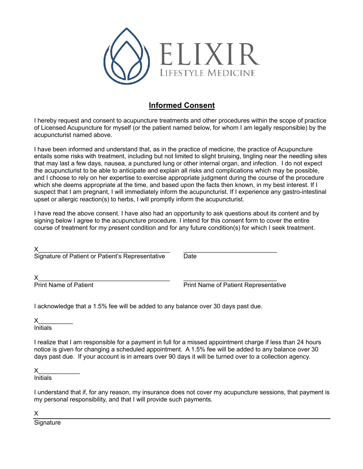

#### **Informed Consent**

I hereby request and consent to acupuncture treatments and other procedures within the scope of practice of Licensed Acupuncture for myself (or the patient named below, for whom I am legally responsible) by the acupuncturist named above.

I have been informed and understand that, as in the practice of medicine, the practice of Acupuncture entails some risks with treatment, including but not limited to slight bruising, tingling near the needling sites that may last a few days, nausea, a punctured lung or other internal organ, and infection. I do not expect the acupuncturist to be able to anticipate and explain all risks and complications which may be possible, and I choose to rely on her expertise to exercise appropriate judgment during the course of the procedure which she deems appropriate at the time, and based upon the facts then known, in my best interest. If I suspect that I am pregnant, I will immediately inform the acupuncturist. If I experience any gastro-intestinal upset or allergic reaction(s) to herbs, I will promptly inform the acupuncturist.

I have read the above consent. I have also had an opportunity to ask questions about its content and by signing below I agree to the acupuncture procedure. I intend for this consent form to cover the entire course of treatment for my present condition and for any future condition(s) for which I seek treatment.

| Signature of Patient or Patient's Representative | Date |
|--------------------------------------------------|------|
|                                                  |      |

Print Name of Patient **Prince Access Print Name of Patient Representative** 

I acknowledge that a 1.5% fee will be added to any balance over 30 days past due.

 $\times$ 

**Initials** 

I realize that I am responsible for a payment in full for a missed appointment charge if less than 24 hours notice is given for changing a scheduled appointment. A 1.5% fee will be added to any balance over 30 days past due. If your account is in arrears over 90 days it will be turned over to a collection agency.

 $\times$ 

**Initials** 

I understand that if, for any reason, my insurance does not cover my acupuncture sessions, that payment is my personal responsibility, and that I will provide such payments.

X

**Signature**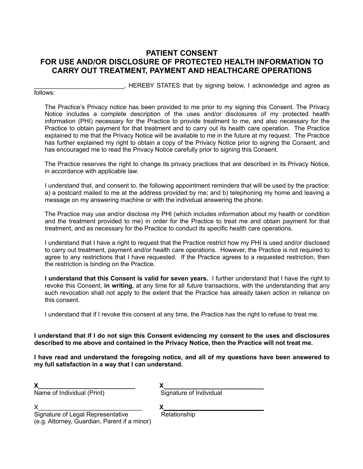#### **PATIENT CONSENT FOR USE AND/OR DISCLOSURE OF PROTECTED HEALTH INFORMATION TO CARRY OUT TREATMENT, PAYMENT AND HEALTHCARE OPERATIONS**

\_\_\_\_\_\_\_\_\_\_\_\_\_\_\_\_\_\_\_\_\_\_\_\_\_\_, HEREBY STATES that by signing below, I acknowledge and agree as

#### follows:

The Practice's Privacy notice has been provided to me prior to my signing this Consent. The Privacy Notice includes a complete description of the uses and/or disclosures of my protected health information (PHI) necessary for the Practice to provide treatment to me, and also necessary for the Practice to obtain payment for that treatment and to carry out its health care operation. The Practice explained to me that the Privacy Notice will be available to me in the future at my request. The Practice has further explained my right to obtain a copy of the Privacy Notice prior to signing the Consent, and has encouraged me to read the Privacy Notice carefully prior to signing this Consent.

The Practice reserves the right to change its privacy practices that are described in its Privacy Notice, in accordance with applicable law.

I understand that, and consent to, the following appointment reminders that will be used by the practice: a) a postcard mailed to me at the address provided by me; and b) telephoning my home and leaving a message on my answering machine or with the individual answering the phone.

The Practice may use and/or disclose my PHI (which includes information about my health or condition and the treatment provided to me) in order for the Practice to treat me and obtain payment for that treatment, and as necessary for the Practice to conduct its specific health care operations.

I understand that I have a right to request that the Practice restrict how my PHI is used and/or disclosed to carry out treatment, payment and/or health care operations. However, the Practice is not required to agree to any restrictions that I have requested. If the Practice agrees to a requested restriction, then the restriction is binding on the Practice.

**I understand that this Consent is valid for seven years.** I further understand that I have the right to revoke this Consent, **in writing,** at any time for all *future* transactions, with the understanding that any such revocation shall not apply to the extent that the Practice has already taken action in reliance on this consent.

I understand that if I revoke this consent at any time, the Practice has the right to refuse to treat me.

**I understand that if I do not sign this Consent evidencing my consent to the uses and disclosures described to me above and contained in the Privacy Notice, then the Practice will not treat me.**

**I have read and understand the foregoing notice, and all of my questions have been answered to my full satisfaction in a way that I can understand.**

| Name of Individual (Print) |  |
|----------------------------|--|

Name of Individual (Print)

| - - |  |                         |  |
|-----|--|-------------------------|--|
|     |  | Signature of Individual |  |

X\_\_\_\_\_\_\_\_\_\_\_\_\_\_\_\_\_\_\_\_\_\_\_\_\_\_\_\_\_\_ **X** 

Signature of Legal Representative Relationship (e.g. Attorney, Guardian, Parent if a minor)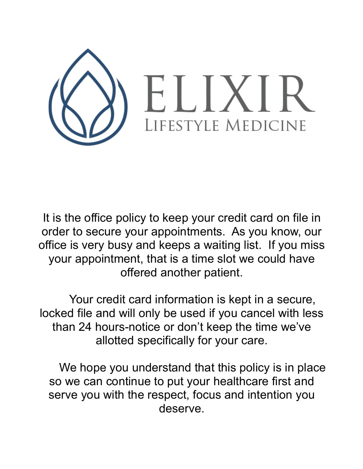

It is the office policy to keep your credit card on file in order to secure your appointments. As you know, our office is very busy and keeps a waiting list. If you miss your appointment, that is a time slot we could have offered another patient.

Your credit card information is kept in a secure, locked file and will only be used if you cancel with less than 24 hours-notice or don't keep the time we've allotted specifically for your care.

We hope you understand that this policy is in place so we can continue to put your healthcare first and serve you with the respect, focus and intention you deserve.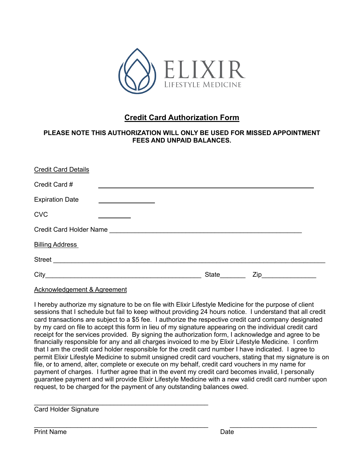

### **Credit Card Authorization Form**

#### **PLEASE NOTE THIS AUTHORIZATION WILL ONLY BE USED FOR MISSED APPOINTMENT FEES AND UNPAID BALANCES.**

| <b>Credit Card Details</b> |                                                                                                                      |       |     |  |
|----------------------------|----------------------------------------------------------------------------------------------------------------------|-------|-----|--|
| Credit Card #              |                                                                                                                      |       |     |  |
| <b>Expiration Date</b>     | <u> 1989 - Johann Barbara, politik eta politik eta politik eta politik eta politik eta politik eta politik eta p</u> |       |     |  |
| <b>CVC</b>                 |                                                                                                                      |       |     |  |
| Credit Card Holder Name    |                                                                                                                      |       |     |  |
| <b>Billing Address</b>     |                                                                                                                      |       |     |  |
| Street                     |                                                                                                                      |       |     |  |
| City                       |                                                                                                                      | State | Zip |  |

Acknowledgement & Agreement

I hereby authorize my signature to be on file with Elixir Lifestyle Medicine for the purpose of client sessions that I schedule but fail to keep without providing 24 hours notice. I understand that all credit card transactions are subject to a \$5 fee. I authorize the respective credit card company designated by my card on file to accept this form in lieu of my signature appearing on the individual credit card receipt for the services provided. By signing the authorization form, I acknowledge and agree to be financially responsible for any and all charges invoiced to me by Elixir Lifestyle Medicine. I confirm that I am the credit card holder responsible for the credit card number I have indicated. I agree to permit Elixir Lifestyle Medicine to submit unsigned credit card vouchers, stating that my signature is on file, or to amend, alter, complete or execute on my behalf, credit card vouchers in my name for payment of charges. I further agree that in the event my credit card becomes invalid, I personally guarantee payment and will provide Elixir Lifestyle Medicine with a new valid credit card number upon request, to be charged for the payment of any outstanding balances owed.

Card Holder Signature

 $\mathcal{L}_\text{max}$  and  $\mathcal{L}_\text{max}$  and  $\mathcal{L}_\text{max}$  and  $\mathcal{L}_\text{max}$  and  $\mathcal{L}_\text{max}$ 

Print Name Date **Date**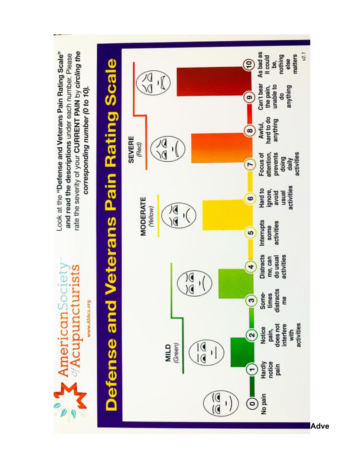

**Adve**